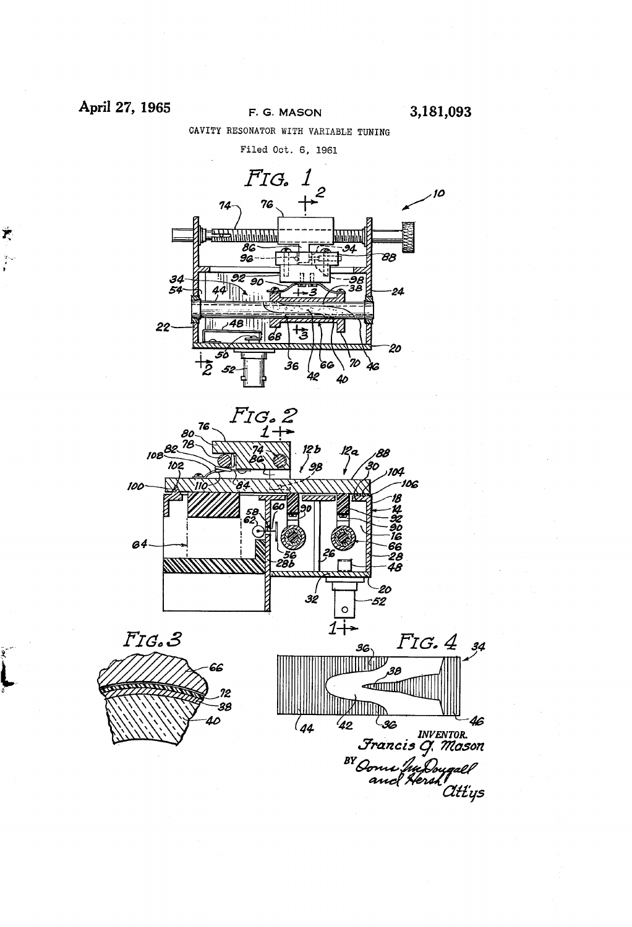## April 27, 1965 F. G. MASON 3,181,093

Ť,

 $\sum_{i=1}^{N-1}$ 

 $\mathbf{R}$ 

CAVITY RESONATOR WITH VARIABLE TUNING

Filed Oct. 6, 1961





 $\mathcal{L}_{44}$ 



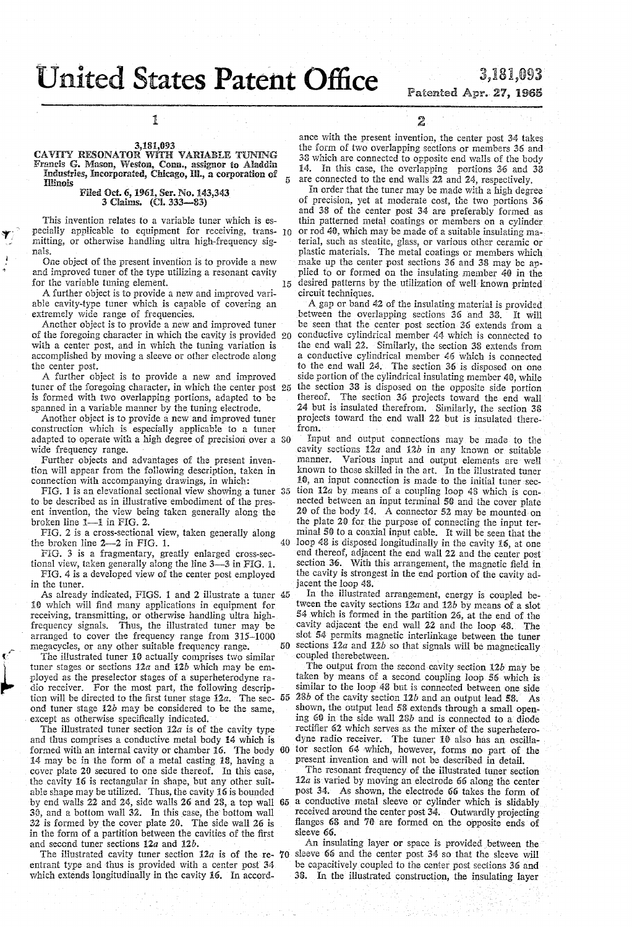# **United States Patent Office**

## 3,181,093 Fatented Apr. 27, 1965

1

#### 3,181,093

CAVITY RESONATOR WITH VARIABLE TUNING Francis G. Mason, Weston, Conn., assignor to Aladdin<br>Industries, Incorporated, Chicago, Ill., a corporation of Illinois

# Filed Oct. 6, 1961, Ser. No. 143,343<br>3 Claims. (Cl. 333-83)

This invention relates to a variable tuner which is especially applicable to equipment for receiving, trans- 10 mitting, or otherwise handling ultra high-frequency signals.

One object of the present invention is to provide a new and improved tuner of the type utilizing a resonant cavity for the variable tuning element. 15

A further object is to provide a new and improved variable cavity-type tuner which is capable of covering an extremely wide range of frequencies.

Another object is to provide a new and improved tuner of the foregoing character in which the cavity is provided 20 with a center post, and in which the tuning variation is accomplished by moving a sleeve or other electrode along the center post.

A further object is to provide a new and improved tuner of the foregoing character, in which the center post  $25$  the section 38 is disposed on the opposite side portion is formed with two overlapping portions, adapted to be spanned in a variable manner by the tuning electrode.

Another object is to provide a new and improved tuner construction which is especially applicable to a tuner adapted to operate with a high degree of precision over a 30 wide frequency range.

Further objects and advantages of the present invention will appear from the following description, taken in connection with accompanying drawings, in which:

FIG. 1 is an elevational sectional view showing a tuner 35 to be described as in illustrative embodiment of the present invention, the view being taken generally along the broken line 1-1 in FIG. 2.

FIG. 2 is a cross-sectional view, taken generally along 40 the broken line 2-2 in FIG. 1.

FIG. 3 is a fragmentary, greatly enlarged cross-sectional view, taken generally along the line 3-3 in FIG. 1.

FIG. 4 is a developed view of the center post employed in the tuner.

As already indicated, FIGS. 1 and 2 illustrate a tuner 45 10 which will find many applications in equipment for receiving, transmitting, or otherwise handling ultra highfrequency signals. Thus, the illustrated tuner may be arranged to cover the frequency range from 315-1000 megacycles, or any other suitable frequency range.

The illustrated tuner 10 actually comprises two similar tuner stages or sections  $12a$  and  $12b$  which may be employed as the preselector stages of a superheterodyne radio receiver. For the most part, the following description will be directed to the first tuner stage  $12a$ . The sec-  $55$ ond tuner stage 12b may be considered to be the same, except as otherwise specifically indicated.

The illustrated tuner section  $12a$  is of the cavity type and thus comprises a conductive metal body 14 which is formed with an internal cavity or chamber 16. The body 60 14 may be in the form of a metal casting 18, having a cover plate 20 secured to one side thereof. In this case, the cavity 16 is rectangular in shape, but any other suitable shape may be utilized. Thus, the cavity 16 is bounded by end walls 22 and 24, side walls 26 and 28, a top wall 65 30, and a bottom wall 32. In this case, the bottom wall 32 is formed by the cover plate 20. The side wall 26 is in the form of a partition between the cavities of the first and second tuner sections 12a and 12b.

The illustrated cavity tuner section 12a is of the re- 70 entrant type and thus is provided with a center post 34 which extends longitudinally in the cavity 16. In accord2

ance with the present invention, the center post 34 takes the form of two overlapping sections or members 36 and 38 which are connected to opposite end walls of the body 14. In this case, the overlapping portions 36 and 38 are connected to the end walls 22 and 24, respectively.

In order that the tuner may be made with a high degree of precision, yet at moderate cost, the two portions 36 and 38 of the center post 34 are preferably formed as thin patterned metal coatings or members on a cylinder or rod 40, which may be made of a suitable insulating material, such as steatite, glass, or various other ceramic or plastic materials. The metal coatings or members which make up the center post sections 36 and 38 may be applied to or formed on the insulating member 40 in the desired patterns by the utilization of well known printed circuit techniques.

A gap or band 42 of the insulating material is provided between the overlapping sections 36 and 38. It will be seen that the center post section 36 extends from a conductive cylindrical member 44 which is connected to the end wall 22. Similarly, the section 38 extends from a conductive cylindrical member 46 which is connected to the end wall 24. The section 36 is disposed on one side portion of the cylindrical insulating member 40, while thereof. The section 36 projects toward the end wall 24 but is insulated therefrom. Similarly, the section 38 projects toward the end wall 22 but is insulated therefrom.

Input and output connections may be made to the cavity sections 12a and 12b in any known or suitable manner. Various input and output elements are well known to those skilled in the art. In the illustrated tuner 10, an input connection is made to the initial tuner section 12a by means of a coupling loop 43 which is connected between an input terminal 50 and the cover plate 20 of the body 14. A connector 52 may be mounted on the plate 20 for the purpose of connecting the input terminal 50 to a coaxial input cable. It will be seen that the loop 48 is disposed longitudinally in the cavity 16, at one end thereof, adjacent the end wall 22 and the center post section 36. With this arrangement, the magnetic field in the cavity is strongest in the end portion of the cavity adjacent the loop 48.

In the illustrated arrangement, energy is coupled between the cavity sections  $12a$  and  $12b$  by means of a slot 54 which is formed in the partition 26, at the end of the cavity adjacent the end wall 22 and the loop 43. The slot 54 permits magnetic interlinkage between the tuner 50 sections  $12a$  and  $12b$  so that signals will be magnetically coupled therebetween.

The output from the second cavity section  $12b$  may be taken by means of a second coupling loop 56 which is similar to the loop 48 but is connected between one side 28b of the cavity section  $12b$  and an output lead 58. As shown, the output lead 53 extends through a small opening 60 in the side wall 28b and is connected to a diode rectifier 62 which serves as the mixer of the superheterodyne radio receiver. The tuner 10 also has an oscillator section 64 which, however, forms no part of the present invention and will not be described in detail.

The resonant frequency of the illustrated tuner section 12a is varied by moving an electrode 66 along the center post 34. As shown, the electrode 66 takes the form of a conductive metal sleeve or cylinder which is slidably received around the center post 34. Outwardly projecting flanges 68 and 70 are formed on the opposite ends of sleeve 66.

An insulating layer or space is provided between the sleeve 66 and the center post 34 so that the sleeve will be capacitively coupled to the center post sections 36 and 38. In the illustrated construction, the insulating layer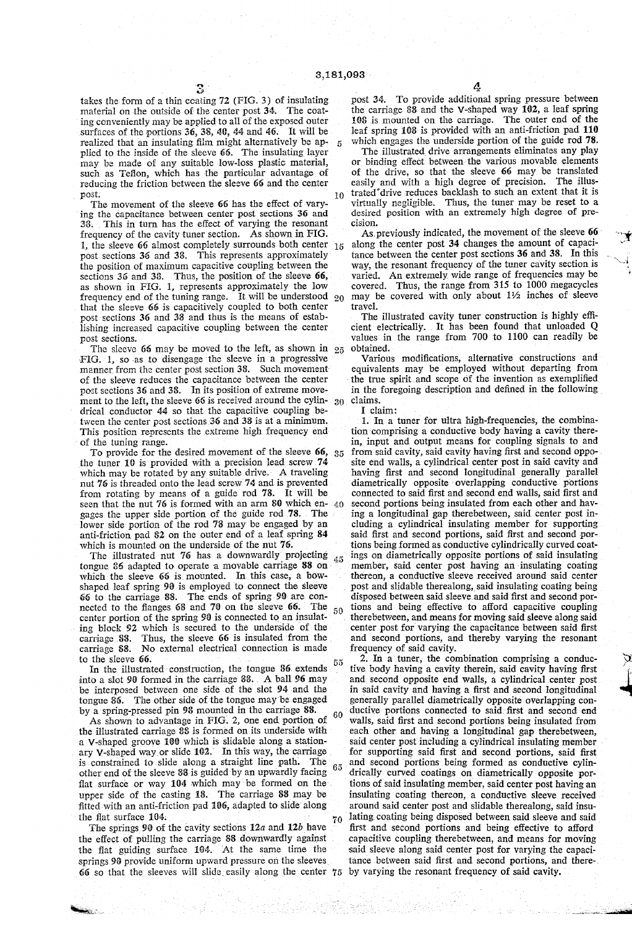takes the form of a thin coating 72 (FIG. 3) of insulating material on the outside of the center post 34; The coat ing conveniently may be applied to all of the exposed outer surfaces of the portions 36, 3S, 40, 44 and 46. It will be realized that an insulating film might alternatively be ap 5 plied to the inside of the sleeve 66. The insulating layer may be made of any suitable low-loss plastic material, such as Teflon, which has the particular advantage of reducing the friction between the sleeve 66 and the center post. 10

The movement of the sleeve 66 has the effect of varying the capacitance between center post sections 36 and 33. This in turn has the efîect of varying the resonant frequency of the cavity tuner section. As shown in FIG. 1, the sleeve 66 almost completely surrounds both center  $_{15}$ post sections 36 and 3S. This represents approximately the position of maximum capacitive coupling between the sections  $36$  and  $38$ . Thus, the position of the sleeve  $66$ . as shown in FIG. 1, represents approximately the low frequency end of the tuning range. It will be understood  $20$ that the sleeve 66 is capacitively coupled to both center post sections 36 and 38 and thus is the means of estab lishing increased capacitive coupling between the center post sections.

The sleeve 66 may be moved to the left, as shown in  $25$ FIG. 1, so as to disengage the sleeve in a progressive manner from the center post section 38. Such movement of the sleeve reduces the capacitance between the center post sections 36 and 38. In its position of extreme movement to the left, the sleeve 66 is received around the cylin drical conductor 44 so that the capacitive coupling be tween the center post sections 36 and 33 is at a minimum. This position represents the extreme high frequency end of the tuning range. 30

To provide for the desired movement of the sleeve 66, : 35 the tuner 10 is provided with a precision lead screw 74 which may be rotated by any suitable drive. A traveling nut 76 is threaded onto the lead screw 74 and is prevented from rotating by means of a guide rod 78. It will be seen that the nut 76 is formed with an arm S0 which en gages the upper side portion of the guide rod 78. The lower side portion of the rod 78 may be engaged by an anti-friction pad 82 on the outer end of a leaf spring 84 which is mounted on the underside of the nut 76.

The illustrated nut 76 has a downwardly projecting  $45$ tongue 86 adapted to operate a movable carriage 88 on which the sleeve 66 is mounted. In this case, a bowshaped leaf spring 90 is employed to connect the sleeve 66 to the carriage S8. The ends of spring 90 are con nected to the flanges 68 and 70 on the sleeve 66. 50 center portion of the spring 90 is connected to an insulat ing block 92 which is secured to the underside of the carriage 88. Thus, the sleeve 66 is insulated from the carriage 8S. No external electrical connection is made to the sleeve 66.

In the illustrated construction, the tongue 86. extends into a slot 90 formed in the carriage  $88.$  A ball 96 may be interposed between one side of the slot 94 and the tongue 86. The other side of the tongue may be engaged by a spring-pressed pin 96 mounted in the carriage 88.

As shown to advantage in FIG. 2, one end portion of the illustrated carriage 8S is formed on its underside with a V-shaped groove 100 which is slidable along a stationary V-shaped way or slide 102. In this way, the carriage is constrained to slide along a straight line path. The  $65$ other end of the sleeve 38 is guided by an upwardly facing flat surface or way 104 which may be formed on the upper side of the casting 18. The carriage 88 may be fitted with an anti-friction pad 106, adapted to slide along the flat surface  $104$ .  $10$ 60

The springs 90 of the cavity sections  $12a$  and  $12b$  have the effect of pulling the carriage 38 downwardly against the flat guiding surface 104. At the same time the springs 90 provide uniform upward pressure on the sleeves  $66$  so that the sleeves will slide easily along the center  $75$  4

post 34. To provide additional spring pressure between the carriage 33 and the V-shaped way 102, a leaf spring 10S is mounted on the carriage. The outer end of the leaf spring 10S is provided with an anti-friction pad 110

which engages the underside portion of the guide rod 78.<br>The illustrated drive arrangements eliminates any play or binding effect between the various movable elements of the drive, so that the sleeve 66 may be translated easily and with a high degree of precision. The illus trated'drive reduces backlash to such an extent that it is virtually negligible. Thus, the tuner may be reset to a desired position with an extremely high degree of pre cision.

As previously indicated, the movement of the sleeve 66 along the center post 34 changes the amount of capaci tance between the center post sections 36 and 38. In this way, the resonant frequency of the tuner cavity section is varied. An extremely wide range of frequencies may be covered. Thus, the range from 315 to 1000 megacycles may be covered with only about  $1\frac{1}{2}$  inches of sleeve travel.

The illustrated cavity tuner construction is highly effi cient electrically. It has been found that unloaded Q values in the range from 700 to 1100 can readily be obtained.

Various modifications, alternative constructions and equivalents may be employed Without departing from the true spirit and scope of the invention as exemplified in the foregoing description and defined in the following claims.

I claim:

at)

1. In a tuner for ultra high-frequencies, the combina tion comprising a conductive body having a cavity there in, input and output means for coupling signals to and from said cavity, said cavity having first and second oppo site end walls, a cylindrical center post in said cavity and having first and second longitudinal generally parallel diametrically opposite overlapping conductive portions connected to said first and second end walls, said first and second portions being insulated from each other and hav ing a longitudinal gap therebetween, said center post in cluding a cylindrical insulating member for supporting said first and second portions, said first and second por tions being formed as conductive cylindrically curved coat ings on diametrically opposite portions of said insulating member, said center post having an insulating coating thereon, a conductive sleeve received around said center post and slidable therealong, said insulating coating being disposed between said sleeve and said first and second portions and being effective to afford capacitive coupling therebetween, and means for moving said sleeve along said center post for varying the capacitance between said first and second portions, and thereby varying the resonant frequency of said cavity.

2. In a tuner, the combination comprising a conduc tive body having a cavity therein, said cavity having first and: second opposite end walls, a cylindrical center post in said cavity and having a first and second longitudinal generally parallel diametrically opposite overlapping con ductive portions connected to said. first and second end walls, said first and second portions being insulated from each other and having a longitudinal gap therebetween, said center post including a cylindrical insulating member for supporting said first and second portions, said first and second portions being formed as conductive cylindrically curved coatings on diametrically opposite portions of said insulating member, said center post having an insulating coating thereon, a conductive sleeve received around said center post and slidable therealong, said insulating coating being disposed between said sleeve and said first and second portions and being effective to afford capacitive coupling therebetween, and means for moving said sleeve along said center post for varying the capaci tance between said first and second portions, and thereby varying the resonant frequency of said cavity.